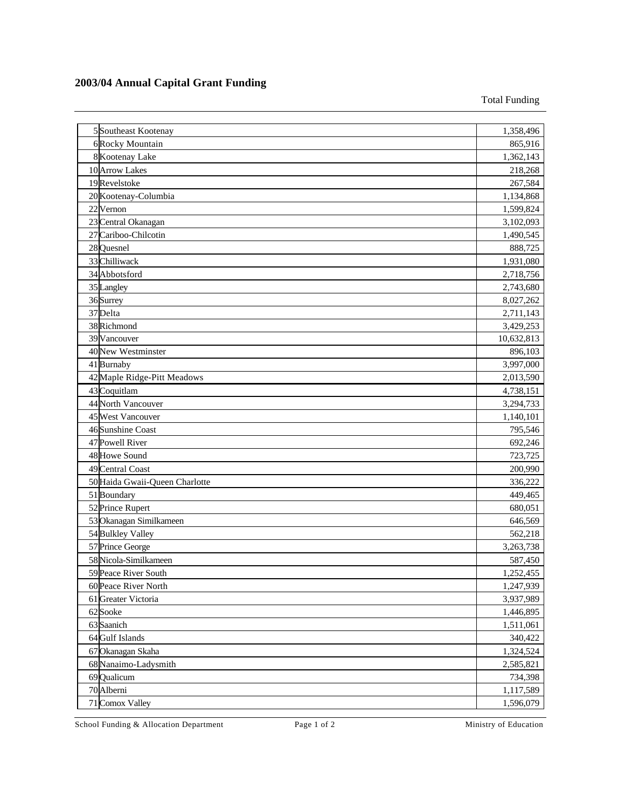## **2003/04 Annual Capital Grant Funding**

Total Funding

| 5 Southeast Kootenay           | 1,358,496  |
|--------------------------------|------------|
| 6 Rocky Mountain               | 865,916    |
| 8 Kootenay Lake                | 1,362,143  |
| 10 Arrow Lakes                 | 218,268    |
| 19 Revelstoke                  | 267,584    |
| 20 Kootenay-Columbia           | 1,134,868  |
| 22 Vernon                      | 1,599,824  |
| 23 Central Okanagan            | 3,102,093  |
| 27 Cariboo-Chilcotin           | 1,490,545  |
| 28 Quesnel                     | 888,725    |
| 33 Chilliwack                  | 1,931,080  |
| 34 Abbotsford                  | 2,718,756  |
| 35 Langley                     | 2,743,680  |
| 36 Surrey                      | 8,027,262  |
| 37 Delta                       | 2,711,143  |
| 38 Richmond                    | 3,429,253  |
| 39 Vancouver                   | 10,632,813 |
| 40 New Westminster             | 896,103    |
| 41 Burnaby                     | 3,997,000  |
| 42 Maple Ridge-Pitt Meadows    | 2,013,590  |
| 43 Coquitlam                   | 4,738,151  |
| 44 North Vancouver             | 3,294,733  |
| 45 West Vancouver              | 1,140,101  |
| 46 Sunshine Coast              | 795,546    |
| 47 Powell River                | 692,246    |
| 48 Howe Sound                  | 723,725    |
| 49 Central Coast               | 200,990    |
| 50 Haida Gwaii-Queen Charlotte | 336,222    |
| 51 Boundary                    | 449,465    |
| 52 Prince Rupert               | 680,051    |
| 53 Okanagan Similkameen        | 646,569    |
| 54 Bulkley Valley              | 562,218    |
| 57 Prince George               | 3,263,738  |
| 58 Nicola-Similkameen          | 587,450    |
| 59 Peace River South           | 1,252,455  |
| 60 Peace River North           | 1,247,939  |
| 61 Greater Victoria            | 3,937,989  |
| 62 Sooke                       | 1,446,895  |
| 63 Saanich                     | 1,511,061  |
| 64 Gulf Islands                | 340,422    |
| 67 Okanagan Skaha              | 1,324,524  |
| 68 Nanaimo-Ladysmith           | 2,585,821  |
| 69 Qualicum                    | 734,398    |
| 70 Alberni                     | 1,117,589  |
| 71 Comox Valley                | 1,596,079  |

School Funding & Allocation Department Page 1 of 2 Ministry of Education